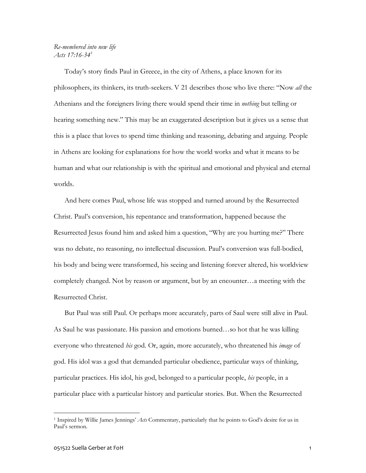## *Re-membered into new life Acts 17:16-34<sup>1</sup>*

 Today's story finds Paul in Greece, in the city of Athens, a place known for its philosophers, its thinkers, its truth-seekers. V 21 describes those who live there: "Now *all* the Athenians and the foreigners living there would spend their time in *nothing* but telling or hearing something new." This may be an exaggerated description but it gives us a sense that this is a place that loves to spend time thinking and reasoning, debating and arguing. People in Athens are looking for explanations for how the world works and what it means to be human and what our relationship is with the spiritual and emotional and physical and eternal worlds.

 And here comes Paul, whose life was stopped and turned around by the Resurrected Christ. Paul's conversion, his repentance and transformation, happened because the Resurrected Jesus found him and asked him a question, "Why are you hurting me?" There was no debate, no reasoning, no intellectual discussion. Paul's conversion was full-bodied, his body and being were transformed, his seeing and listening forever altered, his worldview completely changed. Not by reason or argument, but by an encounter…a meeting with the Resurrected Christ.

 But Paul was still Paul. Or perhaps more accurately, parts of Saul were still alive in Paul. As Saul he was passionate. His passion and emotions burned…so hot that he was killing everyone who threatened *his* god. Or, again, more accurately, who threatened his *image* of god. His idol was a god that demanded particular obedience, particular ways of thinking, particular practices. His idol, his god, belonged to a particular people, *his* people, in a particular place with a particular history and particular stories. But. When the Resurrected

<sup>1</sup> Inspired by Willie James Jennings' *Acts* Commentary, particularly that he points to God's desire for us in Paul's sermon.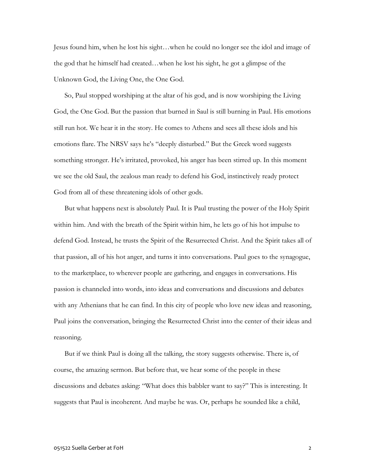Jesus found him, when he lost his sight…when he could no longer see the idol and image of the god that he himself had created…when he lost his sight, he got a glimpse of the Unknown God, the Living One, the One God.

 So, Paul stopped worshiping at the altar of his god, and is now worshiping the Living God, the One God. But the passion that burned in Saul is still burning in Paul. His emotions still run hot. We hear it in the story. He comes to Athens and sees all these idols and his emotions flare. The NRSV says he's "deeply disturbed." But the Greek word suggests something stronger. He's irritated, provoked, his anger has been stirred up. In this moment we see the old Saul, the zealous man ready to defend his God, instinctively ready protect God from all of these threatening idols of other gods.

 But what happens next is absolutely Paul. It is Paul trusting the power of the Holy Spirit within him. And with the breath of the Spirit within him, he lets go of his hot impulse to defend God. Instead, he trusts the Spirit of the Resurrected Christ. And the Spirit takes all of that passion, all of his hot anger, and turns it into conversations. Paul goes to the synagogue, to the marketplace, to wherever people are gathering, and engages in conversations. His passion is channeled into words, into ideas and conversations and discussions and debates with any Athenians that he can find. In this city of people who love new ideas and reasoning, Paul joins the conversation, bringing the Resurrected Christ into the center of their ideas and reasoning.

 But if we think Paul is doing all the talking, the story suggests otherwise. There is, of course, the amazing sermon. But before that, we hear some of the people in these discussions and debates asking: "What does this babbler want to say?" This is interesting. It suggests that Paul is incoherent. And maybe he was. Or, perhaps he sounded like a child,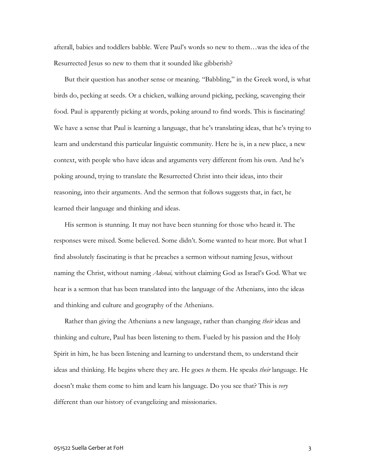afterall, babies and toddlers babble. Were Paul's words so new to them…was the idea of the Resurrected Jesus so new to them that it sounded like gibberish?

 But their question has another sense or meaning. "Babbling," in the Greek word, is what birds do, pecking at seeds. Or a chicken, walking around picking, pecking, scavenging their food. Paul is apparently picking at words, poking around to find words. This is fascinating! We have a sense that Paul is learning a language, that he's translating ideas, that he's trying to learn and understand this particular linguistic community. Here he is, in a new place, a new context, with people who have ideas and arguments very different from his own. And he's poking around, trying to translate the Resurrected Christ into their ideas, into their reasoning, into their arguments. And the sermon that follows suggests that, in fact, he learned their language and thinking and ideas.

 His sermon is stunning. It may not have been stunning for those who heard it. The responses were mixed. Some believed. Some didn't. Some wanted to hear more. But what I find absolutely fascinating is that he preaches a sermon without naming Jesus, without naming the Christ, without naming *Adonai,* without claiming God as Israel's God. What we hear is a sermon that has been translated into the language of the Athenians, into the ideas and thinking and culture and geography of the Athenians.

 Rather than giving the Athenians a new language, rather than changing *their* ideas and thinking and culture, Paul has been listening to them. Fueled by his passion and the Holy Spirit in him, he has been listening and learning to understand them, to understand their ideas and thinking. He begins where they are. He goes *to* them. He speaks *their* language. He doesn't make them come to him and learn his language. Do you see that? This is *very*  different than our history of evangelizing and missionaries.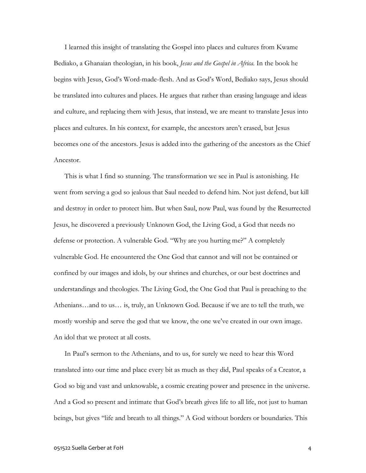I learned this insight of translating the Gospel into places and cultures from Kwame Bediako, a Ghanaian theologian, in his book, *Jesus and the Gospel in Africa.* In the book he begins with Jesus, God's Word-made-flesh. And as God's Word, Bediako says, Jesus should be translated into cultures and places. He argues that rather than erasing language and ideas and culture, and replacing them with Jesus, that instead, we are meant to translate Jesus into places and cultures. In his context, for example, the ancestors aren't erased, but Jesus becomes one of the ancestors. Jesus is added into the gathering of the ancestors as the Chief Ancestor.

 This is what I find so stunning. The transformation we see in Paul is astonishing. He went from serving a god so jealous that Saul needed to defend him. Not just defend, but kill and destroy in order to protect him. But when Saul, now Paul, was found by the Resurrected Jesus, he discovered a previously Unknown God, the Living God, a God that needs no defense or protection. A vulnerable God. "Why are you hurting me?" A completely vulnerable God. He encountered the One God that cannot and will not be contained or confined by our images and idols, by our shrines and churches, or our best doctrines and understandings and theologies. The Living God, the One God that Paul is preaching to the Athenians…and to us… is, truly, an Unknown God. Because if we are to tell the truth, we mostly worship and serve the god that we know, the one we've created in our own image. An idol that we protect at all costs.

 In Paul's sermon to the Athenians, and to us, for surely we need to hear this Word translated into our time and place every bit as much as they did, Paul speaks of a Creator, a God so big and vast and unknowable, a cosmic creating power and presence in the universe. And a God so present and intimate that God's breath gives life to all life, not just to human beings, but gives "life and breath to all things." A God without borders or boundaries. This